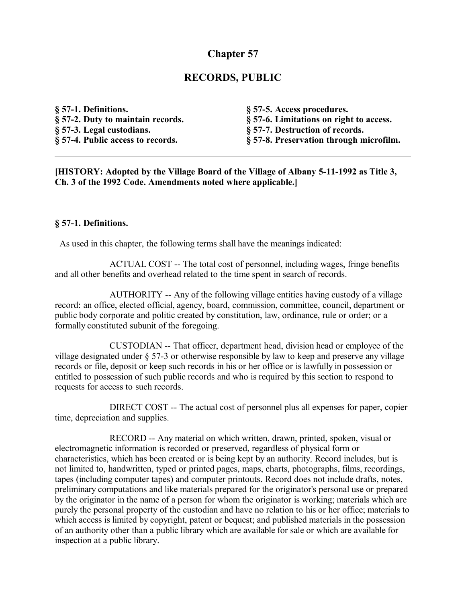# **Chapter 57**

## **RECORDS, PUBLIC**

| § 57-1. Definitions.              | § 57-5. Access procedures.              |
|-----------------------------------|-----------------------------------------|
| § 57-2. Duty to maintain records. | § 57-6. Limitations on right to access. |
| § 57-3. Legal custodians.         | § 57-7. Destruction of records.         |
| § 57-4. Public access to records. | § 57-8. Preservation through microfilm. |

**[HISTORY: Adopted by the Village Board of the Village of Albany 5-11-1992 as Title 3, Ch. 3 of the 1992 Code. Amendments noted where applicable.]**

#### **§ 57-1. Definitions.**

As used in this chapter, the following terms shall have the meanings indicated:

ACTUAL COST -- The total cost of personnel, including wages, fringe benefits and all other benefits and overhead related to the time spent in search of records.

AUTHORITY -- Any of the following village entities having custody of a village record: an office, elected official, agency, board, commission, committee, council, department or public body corporate and politic created by constitution, law, ordinance, rule or order; or a formally constituted subunit of the foregoing.

CUSTODIAN -- That officer, department head, division head or employee of the village designated under § 57-3 or otherwise responsible by law to keep and preserve any village records or file, deposit or keep such records in his or her office or is lawfully in possession or entitled to possession of such public records and who is required by this section to respond to requests for access to such records.

DIRECT COST -- The actual cost of personnel plus all expenses for paper, copier time, depreciation and supplies.

RECORD -- Any material on which written, drawn, printed, spoken, visual or electromagnetic information is recorded or preserved, regardless of physical form or characteristics, which has been created or is being kept by an authority. Record includes, but is not limited to, handwritten, typed or printed pages, maps, charts, photographs, films, recordings, tapes (including computer tapes) and computer printouts. Record does not include drafts, notes, preliminary computations and like materials prepared for the originator's personal use or prepared by the originator in the name of a person for whom the originator is working; materials which are purely the personal property of the custodian and have no relation to his or her office; materials to which access is limited by copyright, patent or bequest; and published materials in the possession of an authority other than a public library which are available for sale or which are available for inspection at a public library.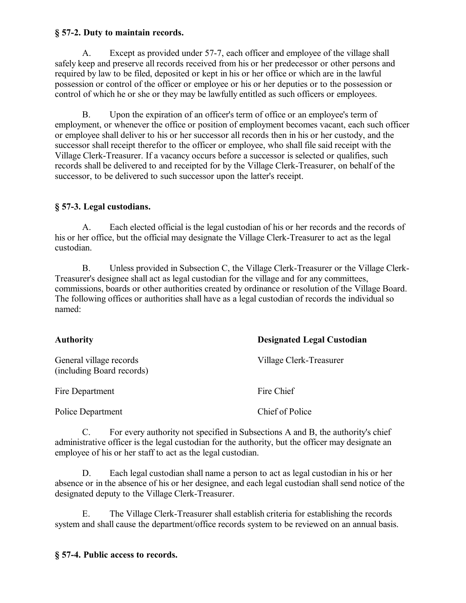#### **§ 57-2. Duty to maintain records.**

A. Except as provided under 57-7, each officer and employee of the village shall safely keep and preserve all records received from his or her predecessor or other persons and required by law to be filed, deposited or kept in his or her office or which are in the lawful possession or control of the officer or employee or his or her deputies or to the possession or control of which he or she or they may be lawfully entitled as such officers or employees.

B. Upon the expiration of an officer's term of office or an employee's term of employment, or whenever the office or position of employment becomes vacant, each such officer or employee shall deliver to his or her successor all records then in his or her custody, and the successor shall receipt therefor to the officer or employee, who shall file said receipt with the Village Clerk-Treasurer. If a vacancy occurs before a successor is selected or qualifies, such records shall be delivered to and receipted for by the Village Clerk-Treasurer, on behalf of the successor, to be delivered to such successor upon the latter's receipt.

### **§ 57-3. Legal custodians.**

A. Each elected official is the legal custodian of his or her records and the records of his or her office, but the official may designate the Village Clerk-Treasurer to act as the legal custodian.

B. Unless provided in Subsection C, the Village Clerk-Treasurer or the Village Clerk-Treasurer's designee shall act as legal custodian for the village and for any committees, commissions, boards or other authorities created by ordinance or resolution of the Village Board. The following offices or authorities shall have as a legal custodian of records the individual so named:

| <b>Authority</b>                                     | <b>Designated Legal Custodian</b> |
|------------------------------------------------------|-----------------------------------|
| General village records<br>(including Board records) | Village Clerk-Treasurer           |
| Fire Department                                      | Fire Chief                        |
| Police Department                                    | Chief of Police                   |

C. For every authority not specified in Subsections A and B, the authority's chief administrative officer is the legal custodian for the authority, but the officer may designate an employee of his or her staff to act as the legal custodian.

D. Each legal custodian shall name a person to act as legal custodian in his or her absence or in the absence of his or her designee, and each legal custodian shall send notice of the designated deputy to the Village Clerk-Treasurer.

E. The Village Clerk-Treasurer shall establish criteria for establishing the records system and shall cause the department/office records system to be reviewed on an annual basis.

### **§ 57-4. Public access to records.**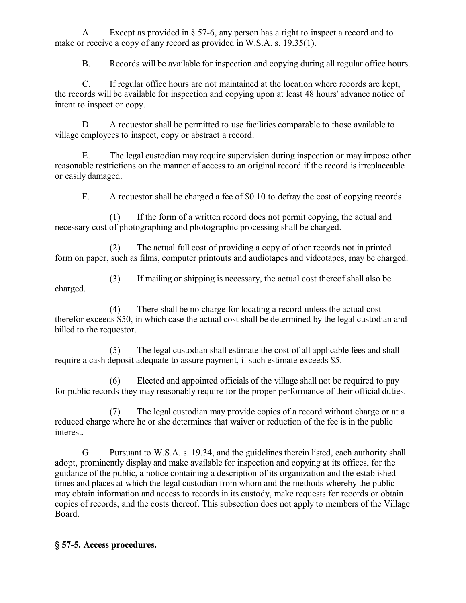A. Except as provided in § 57-6, any person has a right to inspect a record and to make or receive a copy of any record as provided in W.S.A. s. 19.35(1).

B. Records will be available for inspection and copying during all regular office hours.

C. If regular office hours are not maintained at the location where records are kept, the records will be available for inspection and copying upon at least 48 hours' advance notice of intent to inspect or copy.

D. A requestor shall be permitted to use facilities comparable to those available to village employees to inspect, copy or abstract a record.

E. The legal custodian may require supervision during inspection or may impose other reasonable restrictions on the manner of access to an original record if the record is irreplaceable or easily damaged.

F. A requestor shall be charged a fee of \$0.10 to defray the cost of copying records.

(1) If the form of a written record does not permit copying, the actual and necessary cost of photographing and photographic processing shall be charged.

(2) The actual full cost of providing a copy of other records not in printed form on paper, such as films, computer printouts and audiotapes and videotapes, may be charged.

(3) If mailing or shipping is necessary, the actual cost thereof shall also be charged.

(4) There shall be no charge for locating a record unless the actual cost therefor exceeds \$50, in which case the actual cost shall be determined by the legal custodian and billed to the requestor.

(5) The legal custodian shall estimate the cost of all applicable fees and shall require a cash deposit adequate to assure payment, if such estimate exceeds \$5.

(6) Elected and appointed officials of the village shall not be required to pay for public records they may reasonably require for the proper performance of their official duties.

(7) The legal custodian may provide copies of a record without charge or at a reduced charge where he or she determines that waiver or reduction of the fee is in the public interest.

G. Pursuant to W.S.A. s. 19.34, and the guidelines therein listed, each authority shall adopt, prominently display and make available for inspection and copying at its offices, for the guidance of the public, a notice containing a description of its organization and the established times and places at which the legal custodian from whom and the methods whereby the public may obtain information and access to records in its custody, make requests for records or obtain copies of records, and the costs thereof. This subsection does not apply to members of the Village Board.

# **§ 57-5. Access procedures.**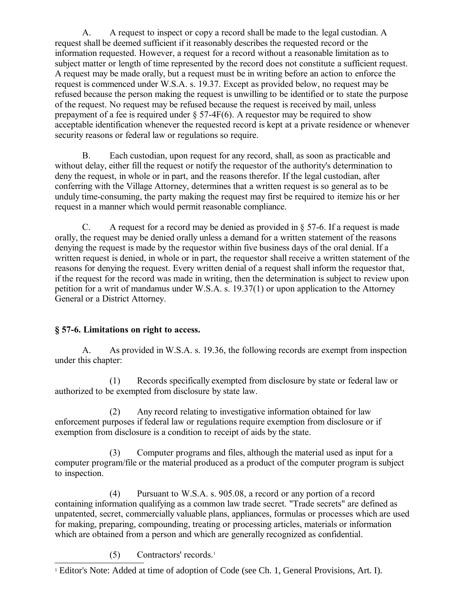A. A request to inspect or copy a record shall be made to the legal custodian. A request shall be deemed sufficient if it reasonably describes the requested record or the information requested. However, a request for a record without a reasonable limitation as to subject matter or length of time represented by the record does not constitute a sufficient request. A request may be made orally, but a request must be in writing before an action to enforce the request is commenced under W.S.A. s. 19.37. Except as provided below, no request may be refused because the person making the request is unwilling to be identified or to state the purpose of the request. No request may be refused because the request is received by mail, unless prepayment of a fee is required under  $\S$  57-4F(6). A requestor may be required to show acceptable identification whenever the requested record is kept at a private residence or whenever security reasons or federal law or regulations so require.

B. Each custodian, upon request for any record, shall, as soon as practicable and without delay, either fill the request or notify the requestor of the authority's determination to deny the request, in whole or in part, and the reasons therefor. If the legal custodian, after conferring with the Village Attorney, determines that a written request is so general as to be unduly time-consuming, the party making the request may first be required to itemize his or her request in a manner which would permit reasonable compliance.

C. A request for a record may be denied as provided in  $\S 57-6$ . If a request is made orally, the request may be denied orally unless a demand for a written statement of the reasons denying the request is made by the requestor within five business days of the oral denial. If a written request is denied, in whole or in part, the requestor shall receive a written statement of the reasons for denying the request. Every written denial of a request shall inform the requestor that, if the request for the record was made in writing, then the determination is subject to review upon petition for a writ of mandamus under W.S.A. s. 19.37(1) or upon application to the Attorney General or a District Attorney.

# **§ 57-6. Limitations on right to access.**

A. As provided in W.S.A. s. 19.36, the following records are exempt from inspection under this chapter:

(1) Records specifically exempted from disclosure by state or federal law or authorized to be exempted from disclosure by state law.

(2) Any record relating to investigative information obtained for law enforcement purposes if federal law or regulations require exemption from disclosure or if exemption from disclosure is a condition to receipt of aids by the state.

(3) Computer programs and files, although the material used as input for a computer program/file or the material produced as a product of the computer program is subject to inspection.

(4) Pursuant to W.S.A. s. 905.08, a record or any portion of a record containing information qualifying as a common law trade secret. "Trade secrets" are defined as unpatented, secret, commercially valuable plans, appliances, formulas or processes which are used for making, preparing, compounding, treating or processing articles, materials or information which are obtained from a person and which are generally recognized as confidential.

(5) Contractors' records.[1](#page-3-0)

<span id="page-3-0"></span><sup>&</sup>lt;sup>1</sup> Editor's Note: Added at time of adoption of Code (see Ch. 1, General Provisions, Art. I).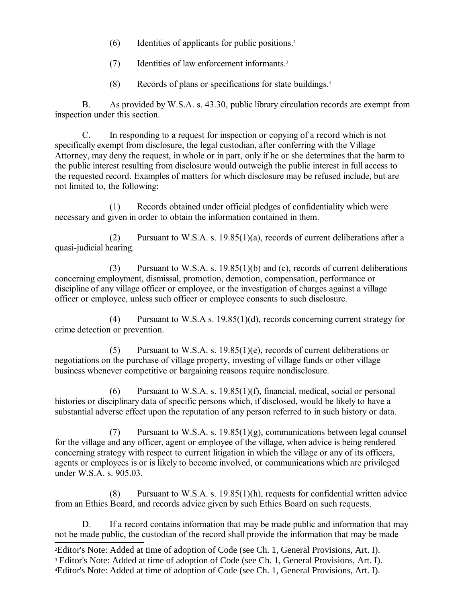- (6) Identities of applicants for public positions.[2](#page-4-0)
- (7) Identities of law enforcement informants.[3](#page-4-1)
- (8) Records of plans or specifications for state buildings.[4](#page-4-2)

B. As provided by W.S.A. s. 43.30, public library circulation records are exempt from inspection under this section.

C. In responding to a request for inspection or copying of a record which is not specifically exempt from disclosure, the legal custodian, after conferring with the Village Attorney, may deny the request, in whole or in part, only if he or she determines that the harm to the public interest resulting from disclosure would outweigh the public interest in full access to the requested record. Examples of matters for which disclosure may be refused include, but are not limited to, the following:

(1) Records obtained under official pledges of confidentiality which were necessary and given in order to obtain the information contained in them.

(2) Pursuant to W.S.A. s. 19.85(1)(a), records of current deliberations after a quasi-judicial hearing.

(3) Pursuant to W.S.A. s. 19.85(1)(b) and (c), records of current deliberations concerning employment, dismissal, promotion, demotion, compensation, performance or discipline of any village officer or employee, or the investigation of charges against a village officer or employee, unless such officer or employee consents to such disclosure.

(4) Pursuant to W.S.A s. 19.85(1)(d), records concerning current strategy for crime detection or prevention.

(5) Pursuant to W.S.A. s. 19.85(1)(e), records of current deliberations or negotiations on the purchase of village property, investing of village funds or other village business whenever competitive or bargaining reasons require nondisclosure.

 $(6)$  Pursuant to W.S.A. s. 19.85(1)(f), financial, medical, social or personal histories or disciplinary data of specific persons which, if disclosed, would be likely to have a substantial adverse effect upon the reputation of any person referred to in such history or data.

(7) Pursuant to W.S.A. s. 19.85(1)(g), communications between legal counsel for the village and any officer, agent or employee of the village, when advice is being rendered concerning strategy with respect to current litigation in which the village or any of its officers, agents or employees is or is likely to become involved, or communications which are privileged under W.S.A. s. 905.03.

(8) Pursuant to W.S.A. s. 19.85(1)(h), requests for confidential written advice from an Ethics Board, and records advice given by such Ethics Board on such requests.

D. If a record contains information that may be made public and information that may not be made public, the custodian of the record shall provide the information that may be made

<span id="page-4-2"></span><span id="page-4-1"></span><span id="page-4-0"></span><sup>2</sup>Editor's Note: Added at time of adoption of Code (see Ch. 1, General Provisions, Art. I). <sup>3</sup> Editor's Note: Added at time of adoption of Code (see Ch. 1, General Provisions, Art. I). 4Editor's Note: Added at time of adoption of Code (see Ch. 1, General Provisions, Art. I).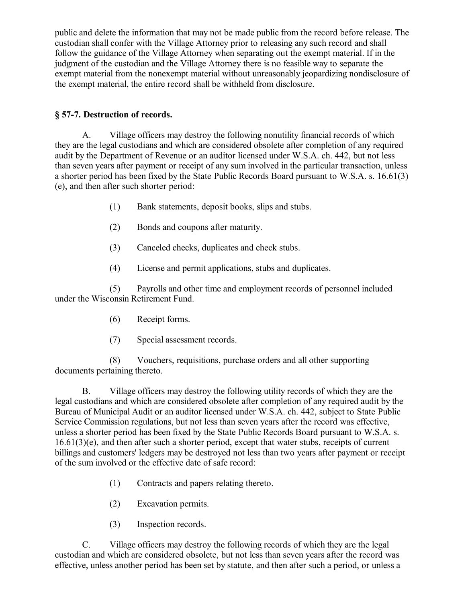public and delete the information that may not be made public from the record before release. The custodian shall confer with the Village Attorney prior to releasing any such record and shall follow the guidance of the Village Attorney when separating out the exempt material. If in the judgment of the custodian and the Village Attorney there is no feasible way to separate the exempt material from the nonexempt material without unreasonably jeopardizing nondisclosure of the exempt material, the entire record shall be withheld from disclosure.

## **§ 57-7. Destruction of records.**

A. Village officers may destroy the following nonutility financial records of which they are the legal custodians and which are considered obsolete after completion of any required audit by the Department of Revenue or an auditor licensed under W.S.A. ch. 442, but not less than seven years after payment or receipt of any sum involved in the particular transaction, unless a shorter period has been fixed by the State Public Records Board pursuant to W.S.A. s. 16.61(3) (e), and then after such shorter period:

- (1) Bank statements, deposit books, slips and stubs.
- (2) Bonds and coupons after maturity.
- (3) Canceled checks, duplicates and check stubs.
- (4) License and permit applications, stubs and duplicates.

(5) Payrolls and other time and employment records of personnel included under the Wisconsin Retirement Fund.

- (6) Receipt forms.
- (7) Special assessment records.

(8) Vouchers, requisitions, purchase orders and all other supporting documents pertaining thereto.

B. Village officers may destroy the following utility records of which they are the legal custodians and which are considered obsolete after completion of any required audit by the Bureau of Municipal Audit or an auditor licensed under W.S.A. ch. 442, subject to State Public Service Commission regulations, but not less than seven years after the record was effective, unless a shorter period has been fixed by the State Public Records Board pursuant to W.S.A. s. 16.61(3)(e), and then after such a shorter period, except that water stubs, receipts of current billings and customers' ledgers may be destroyed not less than two years after payment or receipt of the sum involved or the effective date of safe record:

- (1) Contracts and papers relating thereto.
- (2) Excavation permits.
- (3) Inspection records.

C. Village officers may destroy the following records of which they are the legal custodian and which are considered obsolete, but not less than seven years after the record was effective, unless another period has been set by statute, and then after such a period, or unless a